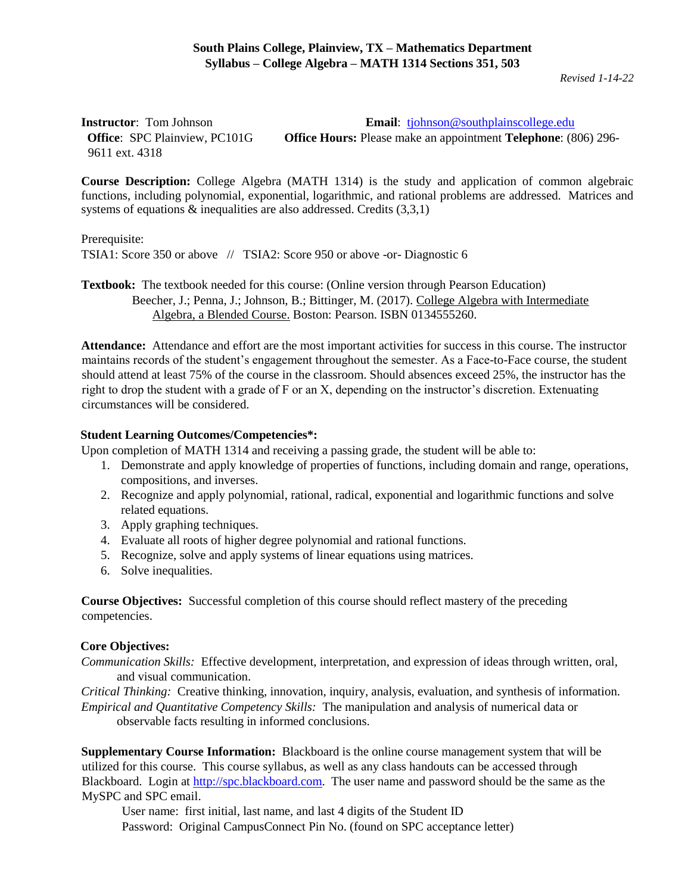*Revised 1-14-22*

**Instructor**: Tom Johnson **Email**: tiohnson **Email**: tiohnson **Email**: tiohnson **Email**: tiohnson **Email**: tiohnson **Email**: tiohnson **Email**: tiohnson **Email**: tiohnson **Email**: tiohnson **Email**: tiohnson **Email**: tiohnso **Office**: SPC Plainview, PC101G **Office Hours:** Please make an appointment **Telephone**: (806) 296- 9611 ext. 4318

**Course Description:** College Algebra (MATH 1314) is the study and application of common algebraic functions, including polynomial, exponential, logarithmic, and rational problems are addressed. Matrices and systems of equations & inequalities are also addressed. Credits  $(3,3,1)$ 

#### Prerequisite:

TSIA1: Score 350 or above // TSIA2: Score 950 or above -or- Diagnostic 6

**Textbook:** The textbook needed for this course: (Online version through Pearson Education) Beecher, J.; Penna, J.; Johnson, B.; Bittinger, M. (2017). College Algebra with Intermediate Algebra, a Blended Course. Boston: Pearson. ISBN 0134555260.

**Attendance:** Attendance and effort are the most important activities for success in this course. The instructor maintains records of the student's engagement throughout the semester. As a Face-to-Face course, the student should attend at least 75% of the course in the classroom. Should absences exceed 25%, the instructor has the right to drop the student with a grade of F or an X, depending on the instructor's discretion. Extenuating circumstances will be considered.

### **Student Learning Outcomes/Competencies\*:**

Upon completion of MATH 1314 and receiving a passing grade, the student will be able to:

- 1. Demonstrate and apply knowledge of properties of functions, including domain and range, operations, compositions, and inverses.
- 2. Recognize and apply polynomial, rational, radical, exponential and logarithmic functions and solve related equations.
- 3. Apply graphing techniques.
- 4. Evaluate all roots of higher degree polynomial and rational functions.
- 5. Recognize, solve and apply systems of linear equations using matrices.
- 6. Solve inequalities.

**Course Objectives:** Successful completion of this course should reflect mastery of the preceding competencies.

### **Core Objectives:**

*Communication Skills:* Effective development, interpretation, and expression of ideas through written, oral, and visual communication.

*Critical Thinking:* Creative thinking, innovation, inquiry, analysis, evaluation, and synthesis of information. *Empirical and Quantitative Competency Skills:* The manipulation and analysis of numerical data or observable facts resulting in informed conclusions.

**Supplementary Course Information:** Blackboard is the online course management system that will be utilized for this course. This course syllabus, as well as any class handouts can be accessed through Blackboard. Login at [http://spc.blackboard.com.](http://spc.blackboard.com/) The user name and password should be the same as the MySPC and SPC email.

User name: first initial, last name, and last 4 digits of the Student ID Password: Original CampusConnect Pin No. (found on SPC acceptance letter)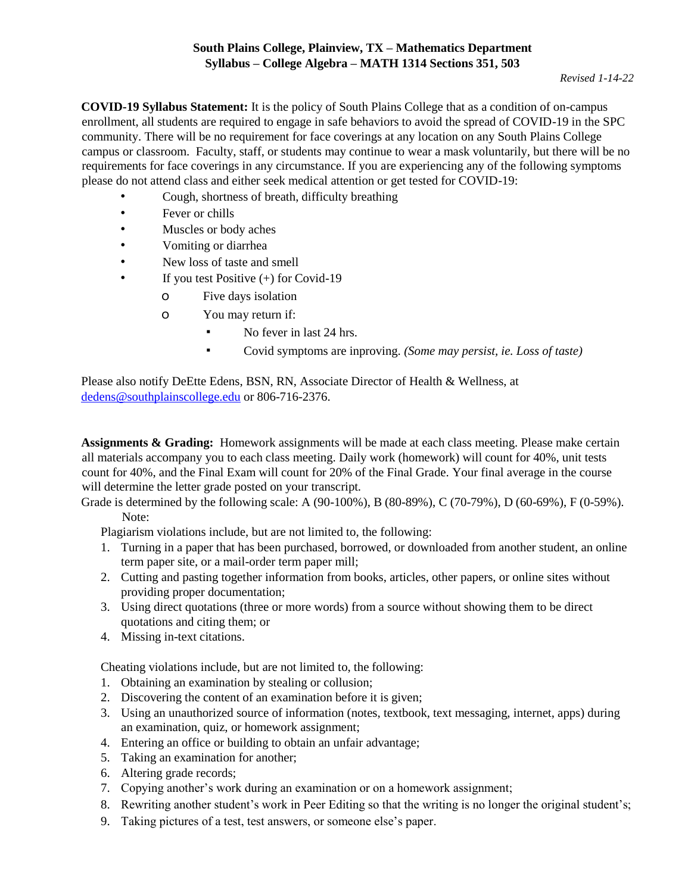# **South Plains College, Plainview, TX – Mathematics Department Syllabus – College Algebra – MATH 1314 Sections 351, 503**

**COVID-19 Syllabus Statement:** It is the policy of South Plains College that as a condition of on-campus enrollment, all students are required to engage in safe behaviors to avoid the spread of COVID-19 in the SPC community. There will be no requirement for face coverings at any location on any South Plains College campus or classroom. Faculty, staff, or students may continue to wear a mask voluntarily, but there will be no requirements for face coverings in any circumstance. If you are experiencing any of the following symptoms please do not attend class and either seek medical attention or get tested for COVID-19:

- Cough, shortness of breath, difficulty breathing
- Fever or chills
- Muscles or body aches
- Vomiting or diarrhea
- New loss of taste and smell
- If you test Positive  $(+)$  for Covid-19
	- o Five days isolation
	- o You may return if:
		- No fever in last 24 hrs.
		- Covid symptoms are inproving. *(Some may persist, ie. Loss of taste)*

Please also notify DeEtte Edens, BSN, RN, Associate Director of Health & Wellness, at dedens@southplainscollege.edu or 806-716-2376.

**Assignments & Grading:** Homework assignments will be made at each class meeting. Please make certain all materials accompany you to each class meeting. Daily work (homework) will count for 40%, unit tests count for 40%, and the Final Exam will count for 20% of the Final Grade. Your final average in the course will determine the letter grade posted on your transcript.

Grade is determined by the following scale: A (90-100%), B (80-89%), C (70-79%), D (60-69%), F (0-59%). Note:

Plagiarism violations include, but are not limited to, the following:

- 1. Turning in a paper that has been purchased, borrowed, or downloaded from another student, an online term paper site, or a mail-order term paper mill;
- 2. Cutting and pasting together information from books, articles, other papers, or online sites without providing proper documentation;
- 3. Using direct quotations (three or more words) from a source without showing them to be direct quotations and citing them; or
- 4. Missing in-text citations.

Cheating violations include, but are not limited to, the following:

- 1. Obtaining an examination by stealing or collusion;
- 2. Discovering the content of an examination before it is given;
- 3. Using an unauthorized source of information (notes, textbook, text messaging, internet, apps) during an examination, quiz, or homework assignment;
- 4. Entering an office or building to obtain an unfair advantage;
- 5. Taking an examination for another;
- 6. Altering grade records;
- 7. Copying another's work during an examination or on a homework assignment;
- 8. Rewriting another student's work in Peer Editing so that the writing is no longer the original student's;
- 9. Taking pictures of a test, test answers, or someone else's paper.